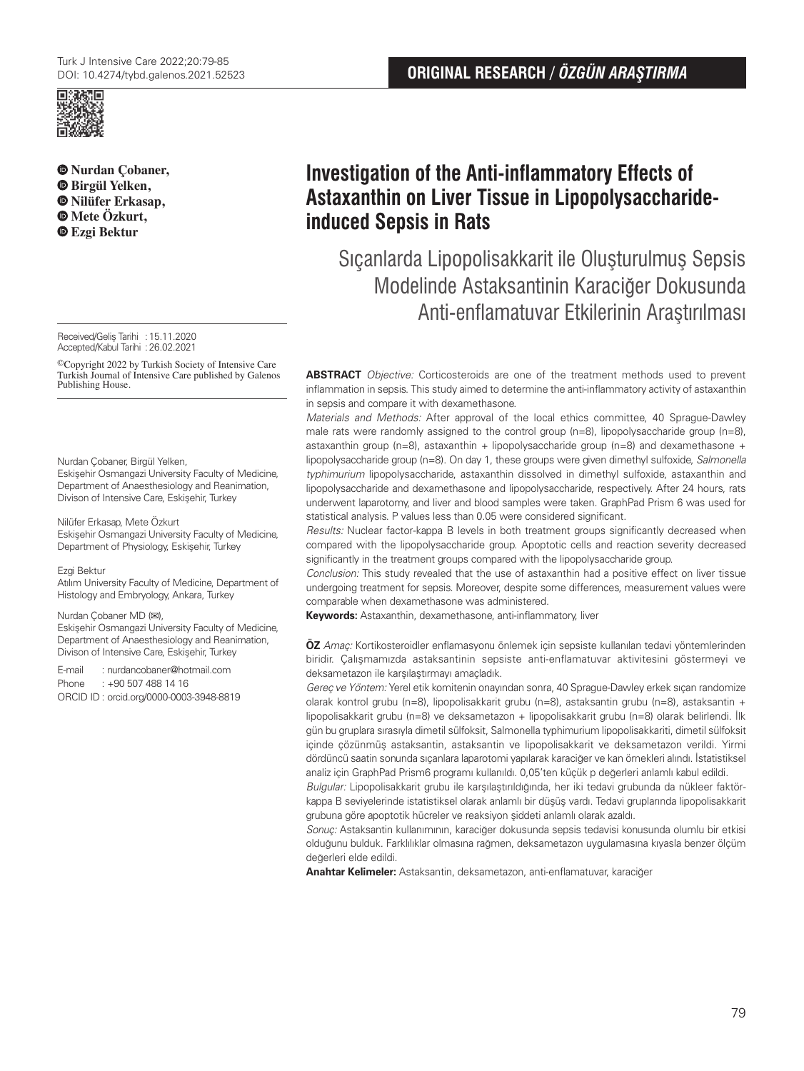

**Nurdan Çobaner, Birgül Yelken, Nilüfer Erkasap, Mete Özkurt, Ezgi Bektur**

Received/Geliş Tarihi :15.11.2020 Accepted/Kabul Tarihi :26.02.2021

©Copyright 2022 by Turkish Society of Intensive Care Turkish Journal of Intensive Care published by Galenos Publishing House.

Nurdan Çobaner, Birgül Yelken,

Eskişehir Osmangazi University Faculty of Medicine, Department of Anaesthesiology and Reanimation, Divison of Intensive Care, Eskişehir, Turkey

#### Nilüfer Erkasap, Mete Özkurt

Eskişehir Osmangazi University Faculty of Medicine, Department of Physiology, Eskişehir, Turkey

#### Ezgi Bektur

Atılım University Faculty of Medicine, Department of Histology and Embryology, Ankara, Turkey

#### Nurdan Çobaner MD (**✉**),

Eskişehir Osmangazi University Faculty of Medicine, Department of Anaesthesiology and Reanimation, Divison of Intensive Care, Eskişehir, Turkey

E-mail : nurdancobaner@hotmail.com

Phone : +90 507 488 14 16 ORCID ID : orcid.org/0000-0003-3948-8819 **Investigation of the Anti-inflammatory Effects of Astaxanthin on Liver Tissue in Lipopolysaccharideinduced Sepsis in Rats**

Sıçanlarda Lipopolisakkarit ile Oluşturulmuş Sepsis Modelinde Astaksantinin Karaciğer Dokusunda Anti-enflamatuvar Etkilerinin Araştırılması

**ABSTRACT** Objective: Corticosteroids are one of the treatment methods used to prevent inflammation in sepsis. This study aimed to determine the anti-inflammatory activity of astaxanthin in sepsis and compare it with dexamethasone.

Materials and Methods: After approval of the local ethics committee, 40 Sprague-Dawley male rats were randomly assigned to the control group  $(n=8)$ , lipopolysaccharide group  $(n=8)$ , astaxanthin group (n=8), astaxanthin + lipopolysaccharide group (n=8) and dexamethasone + lipopolysaccharide group (n=8). On day 1, these groups were given dimethyl sulfoxide, Salmonella typhimurium lipopolysaccharide, astaxanthin dissolved in dimethyl sulfoxide, astaxanthin and lipopolysaccharide and dexamethasone and lipopolysaccharide, respectively. After 24 hours, rats underwent laparotomy, and liver and blood samples were taken. GraphPad Prism 6 was used for statistical analysis. P values less than 0.05 were considered significant.

Results: Nuclear factor-kappa B levels in both treatment groups significantly decreased when compared with the lipopolysaccharide group. Apoptotic cells and reaction severity decreased significantly in the treatment groups compared with the lipopolysaccharide group.

Conclusion: This study revealed that the use of astaxanthin had a positive effect on liver tissue undergoing treatment for sepsis. Moreover, despite some differences, measurement values were comparable when dexamethasone was administered.

**Keywords:** Astaxanthin, dexamethasone, anti-inflammatory, liver

**ÖZ** Amaç: Kortikosteroidler enflamasyonu önlemek için sepsiste kullanılan tedavi yöntemlerinden biridir. Çalışmamızda astaksantinin sepsiste anti-enflamatuvar aktivitesini göstermeyi ve deksametazon ile karşılaştırmayı amaçladık.

Gereç ve Yöntem: Yerel etik komitenin onayından sonra, 40 Sprague-Dawley erkek sıçan randomize olarak kontrol grubu (n=8), lipopolisakkarit grubu (n=8), astaksantin grubu (n=8), astaksantin + lipopolisakkarit grubu (n=8) ve deksametazon + lipopolisakkarit grubu (n=8) olarak belirlendi. İlk gün bu gruplara sırasıyla dimetil sülfoksit, Salmonella typhimurium lipopolisakkariti, dimetil sülfoksit içinde çözünmüş astaksantin, astaksantin ve lipopolisakkarit ve deksametazon verildi. Yirmi dördüncü saatin sonunda sıçanlara laparotomi yapılarak karaciğer ve kan örnekleri alındı. İstatistiksel analiz için GraphPad Prism6 programı kullanıldı. 0,05'ten küçük p değerleri anlamlı kabul edildi.

Bulgular: Lipopolisakkarit grubu ile karşılaştırıldığında, her iki tedavi grubunda da nükleer faktörkappa B seviyelerinde istatistiksel olarak anlamlı bir düşüş vardı. Tedavi gruplarında lipopolisakkarit grubuna göre apoptotik hücreler ve reaksiyon şiddeti anlamlı olarak azaldı.

Sonuç: Astaksantin kullanımının, karaciğer dokusunda sepsis tedavisi konusunda olumlu bir etkisi olduğunu bulduk. Farklılıklar olmasına rağmen, deksametazon uygulamasına kıyasla benzer ölçüm değerleri elde edildi.

**Anahtar Kelimeler:** Astaksantin, deksametazon, anti-enflamatuvar, karaciğer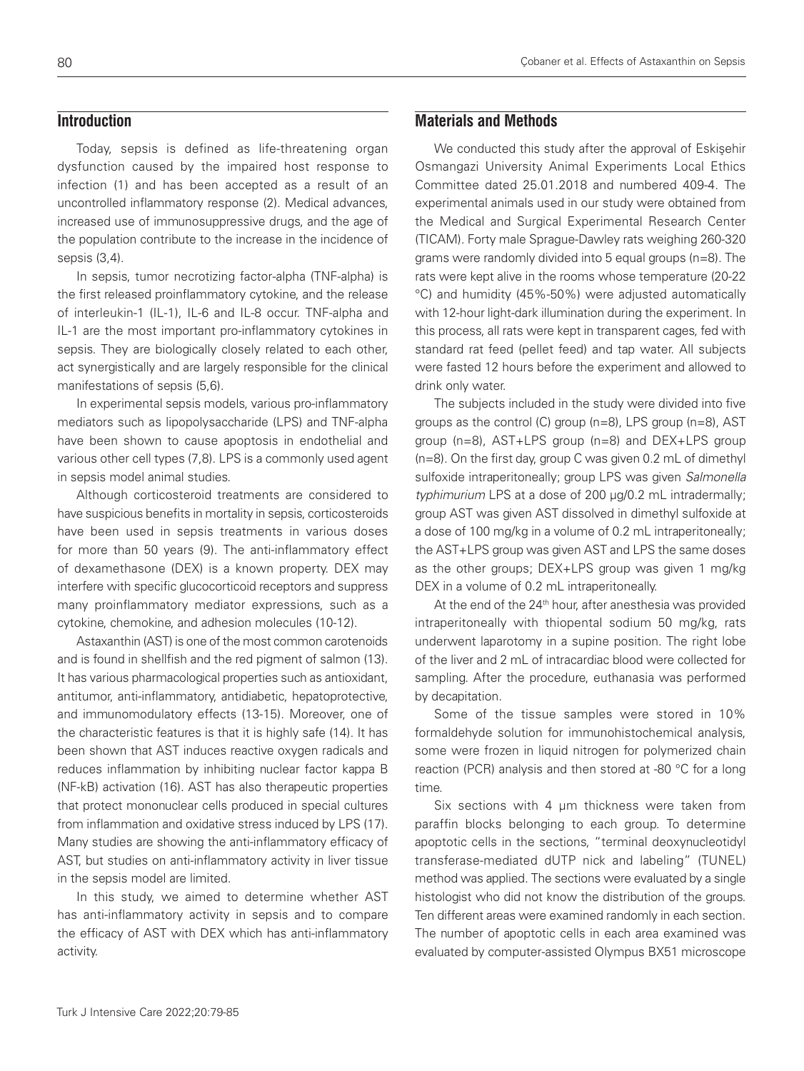## **Introduction**

Today, sepsis is defined as life-threatening organ dysfunction caused by the impaired host response to infection (1) and has been accepted as a result of an uncontrolled inflammatory response (2). Medical advances, increased use of immunosuppressive drugs, and the age of the population contribute to the increase in the incidence of sepsis (3,4).

In sepsis, tumor necrotizing factor-alpha (TNF-alpha) is the first released proinflammatory cytokine, and the release of interleukin-1 (IL-1), IL-6 and IL-8 occur. TNF-alpha and IL-1 are the most important pro-inflammatory cytokines in sepsis. They are biologically closely related to each other, act synergistically and are largely responsible for the clinical manifestations of sepsis (5,6).

In experimental sepsis models, various pro-inflammatory mediators such as lipopolysaccharide (LPS) and TNF-alpha have been shown to cause apoptosis in endothelial and various other cell types (7,8). LPS is a commonly used agent in sepsis model animal studies.

Although corticosteroid treatments are considered to have suspicious benefits in mortality in sepsis, corticosteroids have been used in sepsis treatments in various doses for more than 50 years (9). The anti-inflammatory effect of dexamethasone (DEX) is a known property. DEX may interfere with specific glucocorticoid receptors and suppress many proinflammatory mediator expressions, such as a cytokine, chemokine, and adhesion molecules (10-12).

Astaxanthin (AST) is one of the most common carotenoids and is found in shellfish and the red pigment of salmon (13). It has various pharmacological properties such as antioxidant, antitumor, anti-inflammatory, antidiabetic, hepatoprotective, and immunomodulatory effects (13-15). Moreover, one of the characteristic features is that it is highly safe (14). It has been shown that AST induces reactive oxygen radicals and reduces inflammation by inhibiting nuclear factor kappa B (NF-kB) activation (16). AST has also therapeutic properties that protect mononuclear cells produced in special cultures from inflammation and oxidative stress induced by LPS (17). Many studies are showing the anti-inflammatory efficacy of AST, but studies on anti-inflammatory activity in liver tissue in the sepsis model are limited.

In this study, we aimed to determine whether AST has anti-inflammatory activity in sepsis and to compare the efficacy of AST with DEX which has anti-inflammatory activity.

## **Materials and Methods**

We conducted this study after the approval of Eskisehir Osmangazi University Animal Experiments Local Ethics Committee dated 25.01.2018 and numbered 409-4. The experimental animals used in our study were obtained from the Medical and Surgical Experimental Research Center (TICAM). Forty male Sprague-Dawley rats weighing 260-320 grams were randomly divided into 5 equal groups (n=8). The rats were kept alive in the rooms whose temperature (20-22 °C) and humidity (45%-50%) were adjusted automatically with 12-hour light-dark illumination during the experiment. In this process, all rats were kept in transparent cages, fed with standard rat feed (pellet feed) and tap water. All subjects were fasted 12 hours before the experiment and allowed to drink only water.

The subjects included in the study were divided into five groups as the control (C) group (n=8), LPS group (n=8), AST group (n=8), AST+LPS group (n=8) and DEX+LPS group (n=8). On the first day, group C was given 0.2 mL of dimethyl sulfoxide intraperitoneally; group LPS was given Salmonella typhimurium LPS at a dose of 200 µg/0.2 mL intradermally; group AST was given AST dissolved in dimethyl sulfoxide at a dose of 100 mg/kg in a volume of 0.2 mL intraperitoneally; the AST+LPS group was given AST and LPS the same doses as the other groups; DEX+LPS group was given 1 mg/kg DEX in a volume of 0.2 mL intraperitoneally.

At the end of the 24<sup>th</sup> hour, after anesthesia was provided intraperitoneally with thiopental sodium 50 mg/kg, rats underwent laparotomy in a supine position. The right lobe of the liver and 2 mL of intracardiac blood were collected for sampling. After the procedure, euthanasia was performed by decapitation.

Some of the tissue samples were stored in 10% formaldehyde solution for immunohistochemical analysis, some were frozen in liquid nitrogen for polymerized chain reaction (PCR) analysis and then stored at -80 °C for a long time.

Six sections with 4 um thickness were taken from paraffin blocks belonging to each group. To determine apoptotic cells in the sections, "terminal deoxynucleotidyl transferase-mediated dUTP nick and labeling" (TUNEL) method was applied. The sections were evaluated by a single histologist who did not know the distribution of the groups. Ten different areas were examined randomly in each section. The number of apoptotic cells in each area examined was evaluated by computer-assisted Olympus BX51 microscope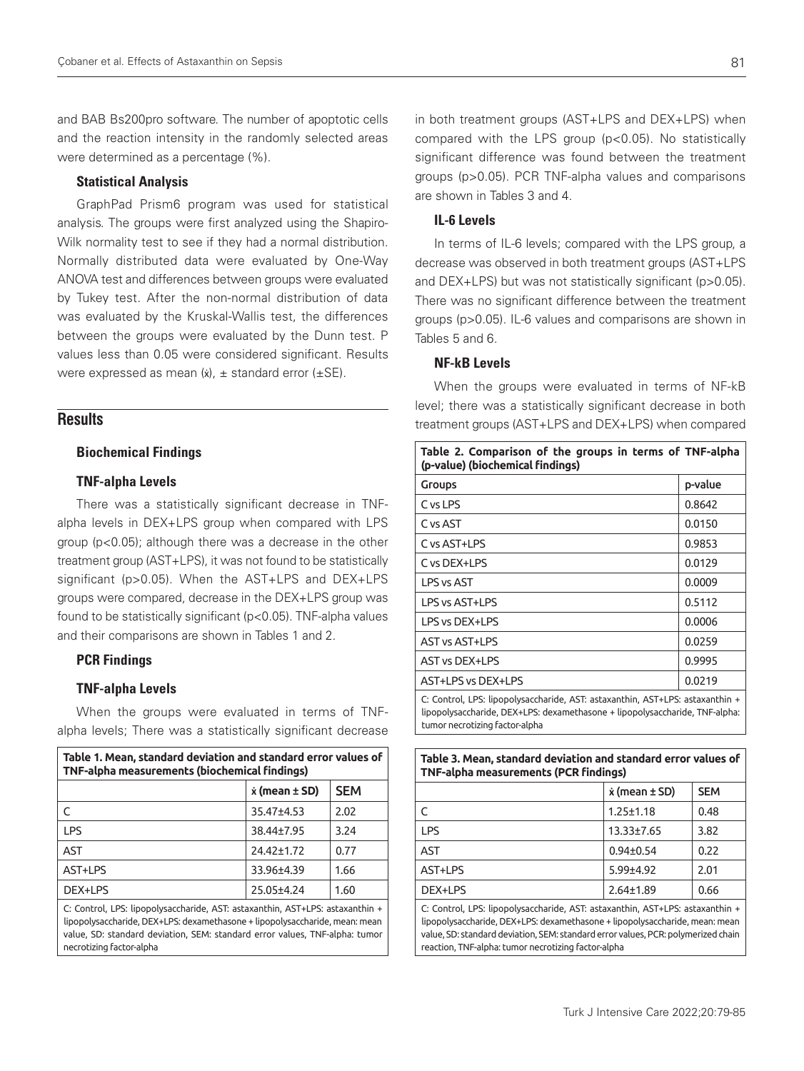and BAB Bs200pro software. The number of apoptotic cells and the reaction intensity in the randomly selected areas were determined as a percentage (%).

#### Statistical Analysis

GraphPad Prism6 program was used for statistical analysis. The groups were first analyzed using the Shapiro-Wilk normality test to see if they had a normal distribution. Normally distributed data were evaluated by One-Way ANOVA test and differences between groups were evaluated by Tukey test. After the non-normal distribution of data was evaluated by the Kruskal-Wallis test, the differences between the groups were evaluated by the Dunn test. P values less than 0.05 were considered significant. Results were expressed as mean  $(x)$ ,  $\pm$  standard error ( $\pm$ SE).

## **Results**

#### Biochemical Findings

#### TNF-alpha Levels

There was a statistically significant decrease in TNFalpha levels in DEX+LPS group when compared with LPS group (p<0.05); although there was a decrease in the other treatment group (AST+LPS), it was not found to be statistically significant (p>0.05). When the AST+LPS and DEX+LPS groups were compared, decrease in the DEX+LPS group was found to be statistically significant (p<0.05). TNF-alpha values and their comparisons are shown in Tables 1 and 2.

#### PCR Findings

#### TNF-alpha Levels

When the groups were evaluated in terms of TNFalpha levels; There was a statistically significant decrease

| Table 1. Mean, standard deviation and standard error values of<br>TNF-alpha measurements (biochemical findings) |                           |            |
|-----------------------------------------------------------------------------------------------------------------|---------------------------|------------|
|                                                                                                                 | $\dot{x}$ (mean $\pm$ SD) | <b>SEM</b> |
|                                                                                                                 | 35.47±4.53                | 2.02       |
| <b>IPS</b>                                                                                                      | 38.44±7.95                | 3.24       |
| AST                                                                                                             | 24.42±1.72                | 0.77       |
| AST+LPS                                                                                                         | 33.96±4.39                | 1.66       |
| DEX+LPS                                                                                                         | 25.05±4.24                | 1.60       |

C: Control, LPS: lipopolysaccharide, AST: astaxanthin, AST+LPS: astaxanthin + lipopolysaccharide, DEX+LPS: dexamethasone + lipopolysaccharide, mean: mean value, SD: standard deviation, SEM: standard error values, TNF-alpha: tumor necrotizing factor-alpha

in both treatment groups (AST+LPS and DEX+LPS) when compared with the LPS group (p<0.05). No statistically significant difference was found between the treatment groups (p>0.05). PCR TNF-alpha values and comparisons are shown in Tables 3 and 4.

### IL-6 Levels

In terms of IL-6 levels; compared with the LPS group, a decrease was observed in both treatment groups (AST+LPS and DEX+LPS) but was not statistically significant (p>0.05). There was no significant difference between the treatment groups (p>0.05). IL-6 values and comparisons are shown in Tables 5 and 6.

### NF-kB Levels

When the groups were evaluated in terms of NF-kB level; there was a statistically significant decrease in both treatment groups (AST+LPS and DEX+LPS) when compared

| Table 2. Comparison of the groups in terms of TNF-alpha<br>(p-value) (biochemical findings) |         |  |
|---------------------------------------------------------------------------------------------|---------|--|
| Groups                                                                                      | p-value |  |
| C vs LPS                                                                                    | 0.8642  |  |
| C vs AST                                                                                    | 0.0150  |  |
| C vs AST+LPS                                                                                | 0.9853  |  |
| C vs DEX+LPS                                                                                | 0.0129  |  |
| LPS vs AST                                                                                  | 0.0009  |  |
| LPS vs AST+LPS                                                                              | 0.5112  |  |
| LPS vs DEX+LPS                                                                              | 0.0006  |  |
| <b>AST vs AST+LPS</b>                                                                       | 0.0259  |  |
| <b>AST vs DEX+LPS</b>                                                                       | 0.9995  |  |
| AST+LPS vs DEX+LPS                                                                          | 0.0219  |  |
| C: Control, LPS: lipopolysaccharide, AST: astaxanthin, AST+LPS: astaxanthin +               |         |  |

lipopolysaccharide, DEX+LPS: dexamethasone + lipopolysaccharide, TNF-alpha: tumor necrotizing factor-alpha

**Table 3. Mean, standard deviation and standard error values of** 

| <u>iable 5. Medil, staliualu deviation dilu staliualu elibi values ol</u><br><b>TNF-alpha measurements (PCR findings)</b> |                           |            |
|---------------------------------------------------------------------------------------------------------------------------|---------------------------|------------|
|                                                                                                                           | $\dot{x}$ (mean $\pm$ SD) | <b>SEM</b> |
| C                                                                                                                         | $1.25 \pm 1.18$           | 0.48       |
| <b>LPS</b>                                                                                                                | $13.33 \pm 7.65$          | 3.82       |
| <b>AST</b>                                                                                                                | $0.94 \pm 0.54$           | 0.22       |
| AST+LPS                                                                                                                   | $5.99{\pm}4.92$           | 2.01       |
| DEX+LPS                                                                                                                   | $2.64 \pm 1.89$           | 0.66       |

C: Control, LPS: lipopolysaccharide, AST: astaxanthin, AST+LPS: astaxanthin + lipopolysaccharide, DEX+LPS: dexamethasone + lipopolysaccharide, mean: mean value, SD: standard deviation, SEM: standard error values, PCR: polymerized chain reaction, TNF-alpha: tumor necrotizing factor-alpha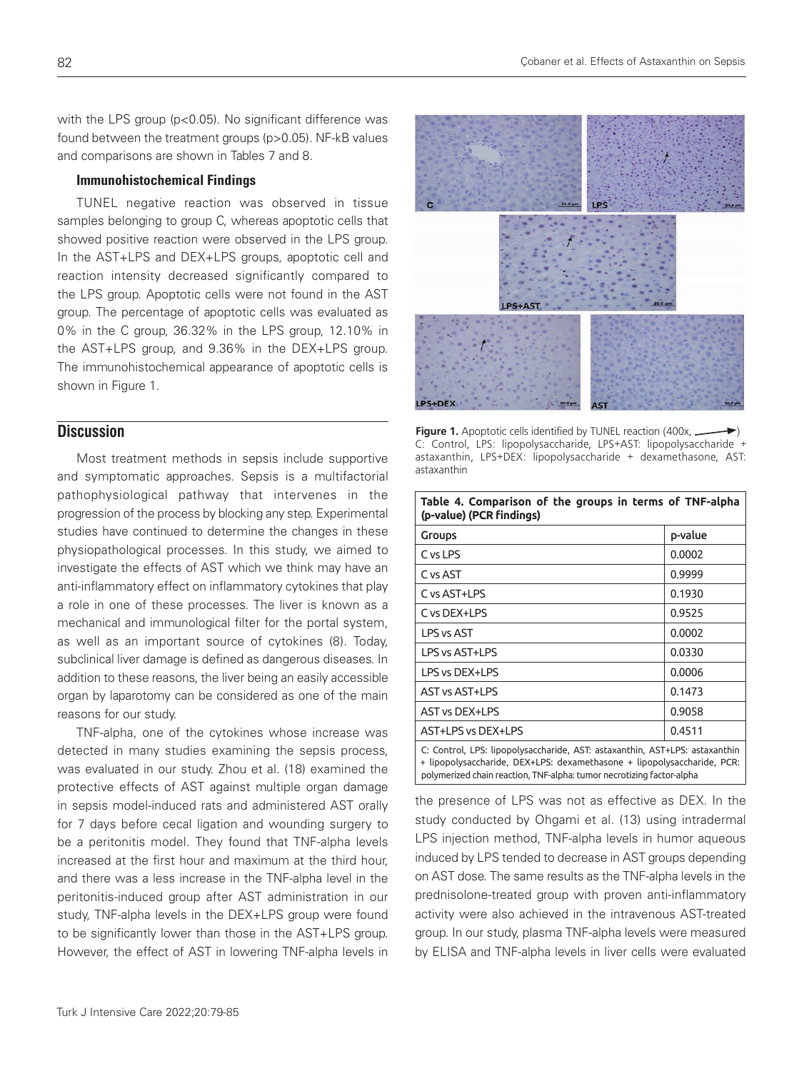with the LPS group (p<0.05). No significant difference was found between the treatment groups (p>0.05). NF-kB values and comparisons are shown in Tables 7 and 8.

### Immunohistochemical Findings

TUNEL negative reaction was observed in tissue samples belonging to group C, whereas apoptotic cells that showed positive reaction were observed in the LPS group. In the AST+LPS and DEX+LPS groups, apoptotic cell and reaction intensity decreased significantly compared to the LPS group. Apoptotic cells were not found in the AST group. The percentage of apoptotic cells was evaluated as 0% in the C group, 36.32% in the LPS group, 12.10% in the AST+LPS group, and 9.36% in the DEX+LPS group. The immunohistochemical appearance of apoptotic cells is shown in Figure 1.

## **Discussion**

Most treatment methods in sepsis include supportive and symptomatic approaches. Sepsis is a multifactorial pathophysiological pathway that intervenes in the progression of the process by blocking any step. Experimental studies have continued to determine the changes in these physiopathological processes. In this study, we aimed to investigate the effects of AST which we think may have an anti-inflammatory effect on inflammatory cytokines that play a role in one of these processes. The liver is known as a mechanical and immunological filter for the portal system, as well as an important source of cytokines (8). Today, subclinical liver damage is defined as dangerous diseases. In addition to these reasons, the liver being an easily accessible organ by laparotomy can be considered as one of the main reasons for our study.

TNF-alpha, one of the cytokines whose increase was detected in many studies examining the sepsis process, was evaluated in our study. Zhou et al. (18) examined the protective effects of AST against multiple organ damage in sepsis model-induced rats and administered AST orally for 7 days before cecal ligation and wounding surgery to be a peritonitis model. They found that TNF-alpha levels increased at the first hour and maximum at the third hour, and there was a less increase in the TNF-alpha level in the peritonitis-induced group after AST administration in our study, TNF-alpha levels in the DEX+LPS group were found to be significantly lower than those in the AST+LPS group. However, the effect of AST in lowering TNF-alpha levels in



**Figure 1.** Apoptotic cells identified by TUNEL reaction (400x, ... C: Control, LPS: lipopolysaccharide, LPS+AST: lipopolysaccharide + astaxanthin, LPS+DEX: lipopolysaccharide + dexamethasone, AST: astaxanthin

**Table 4. Comparison of the groups in terms of TNF-alpha** 

| rable 4. Comparison or the groups in terms or TNF-alpha<br>(p-value) (PCR findings)                                                                                                                                             |         |  |
|---------------------------------------------------------------------------------------------------------------------------------------------------------------------------------------------------------------------------------|---------|--|
| <b>Groups</b>                                                                                                                                                                                                                   | p-value |  |
| C vs LPS                                                                                                                                                                                                                        | 0.0002  |  |
| C vs AST                                                                                                                                                                                                                        | 0.9999  |  |
| C vs AST+LPS                                                                                                                                                                                                                    | 0.1930  |  |
| C vs DEX+LPS                                                                                                                                                                                                                    | 0.9525  |  |
| <b>LPS vs AST</b>                                                                                                                                                                                                               | 0.0002  |  |
| LPS vs AST+LPS                                                                                                                                                                                                                  | 0.0330  |  |
| LPS vs DEX+LPS                                                                                                                                                                                                                  | 0.0006  |  |
| <b>AST vs AST+LPS</b>                                                                                                                                                                                                           | 0.1473  |  |
| <b>AST vs DEX+LPS</b>                                                                                                                                                                                                           | 0.9058  |  |
| AST+LPS vs DEX+LPS                                                                                                                                                                                                              | 0.4511  |  |
| C: Control, LPS: lipopolysaccharide, AST: astaxanthin, AST+LPS: astaxanthin<br>+ lipopolysaccharide, DEX+LPS: dexamethasone + lipopolysaccharide, PCR:<br>polymerized chain reaction, TNF-alpha: tumor necrotizing factor-alpha |         |  |

the presence of LPS was not as effective as DEX. In the study conducted by Ohgami et al. (13) using intradermal LPS injection method, TNF-alpha levels in humor aqueous induced by LPS tended to decrease in AST groups depending on AST dose. The same results as the TNF-alpha levels in the prednisolone-treated group with proven anti-inflammatory activity were also achieved in the intravenous AST-treated group. In our study, plasma TNF-alpha levels were measured by ELISA and TNF-alpha levels in liver cells were evaluated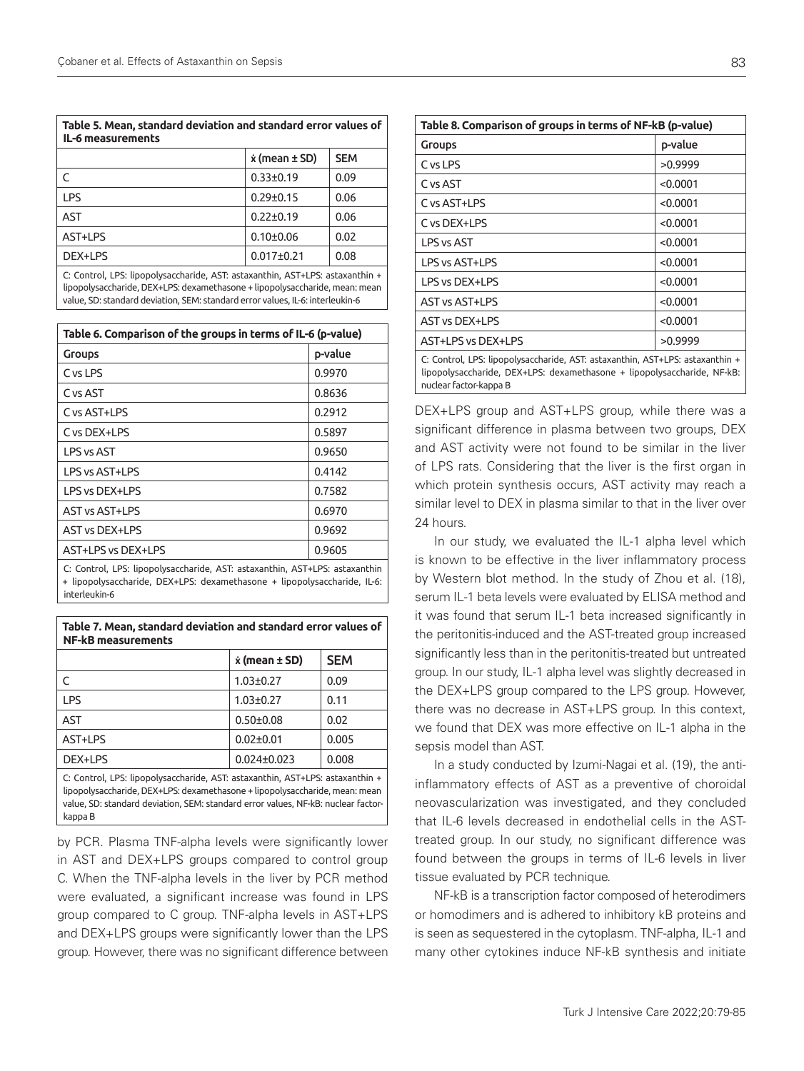| Table 5. Mean, standard deviation and standard error values of<br>IL-6 measurements |  |                           |            |
|-------------------------------------------------------------------------------------|--|---------------------------|------------|
|                                                                                     |  | $\dot{x}$ (mean $\pm$ SD) | <b>SEM</b> |
|                                                                                     |  | $0.33 \pm 0.19$           | 0.09       |
|                                                                                     |  | $0.20 + 0.15$             |            |

| <b>IPS</b>                                                                    | $0.29 \pm 0.15$  | 0.06 |
|-------------------------------------------------------------------------------|------------------|------|
| AST                                                                           | $0.22 \pm 0.19$  | 0.06 |
| AST+LPS                                                                       | $0.10 + 0.06$    | 0.02 |
| DEX+LPS                                                                       | $0.017 \pm 0.21$ | 0.08 |
| C: Control, LPS: lipopolysaccharide, AST: astaxanthin, AST+LPS: astaxanthin + |                  |      |

lipopolysaccharide, DEX+LPS: dexamethasone + lipopolysaccharide, mean: mean value, SD: standard deviation, SEM: standard error values, IL-6: interleukin-6

| Table 6. Comparison of the groups in terms of IL-6 (p-value)              |         |
|---------------------------------------------------------------------------|---------|
| Groups                                                                    | p-value |
| C vs LPS                                                                  | 0.9970  |
| C vs AST                                                                  | 0.8636  |
| C vs AST+LPS                                                              | 0.2912  |
| C vs DEX+LPS                                                              | 0.5897  |
| LPS vs AST                                                                | 0.9650  |
| LPS vs AST+LPS                                                            | 0.4142  |
| LPS vs DEX+LPS                                                            | 0.7582  |
| <b>AST vs AST+LPS</b>                                                     | 0.6970  |
| <b>AST vs DEX+LPS</b>                                                     | 0.9692  |
| AST+LPS vs DEX+LPS                                                        | 0.9605  |
| C. Central LDC. Leaseburgeteride, ACT. estavention, ACT. LDC. estavention |         |

ontrol, LPS: lipopolysaccharide, AST: astaxanthin, AST+LPS: astaxanthin + lipopolysaccharide, DEX+LPS: dexamethasone + lipopolysaccharide, IL-6: interleukin-6

**Table 7. Mean, standard deviation and standard error values of** 

| <b>NF-kB measurements</b>                                                                                                                                  |                           |            |
|------------------------------------------------------------------------------------------------------------------------------------------------------------|---------------------------|------------|
|                                                                                                                                                            | $\dot{x}$ (mean $\pm$ SD) | <b>SEM</b> |
| C                                                                                                                                                          | $1.03 \pm 0.27$           | 0.09       |
| <b>LPS</b>                                                                                                                                                 | $1.03 \pm 0.27$           | 0.11       |
| <b>AST</b>                                                                                                                                                 | $0.50 + 0.08$             | 0.02       |
| AST+LPS                                                                                                                                                    | $0.02 \pm 0.01$           | 0.005      |
| DEX+LPS                                                                                                                                                    | $0.024 \pm 0.023$         | 0.008      |
| C: Control, LPS: lipopolysaccharide, AST: astaxanthin, AST+LPS: astaxanthin +<br>linopolysaccharide DEY+LDS; devamethasone + linopolysaccharide mean; mean |                           |            |

lipopolysaccharide, DEX+LPS: dexamethasone + lipopolysaccharide, mean: mean value, SD: standard deviation, SEM: standard error values, NF-kB: nuclear factorkappa B

by PCR. Plasma TNF-alpha levels were significantly lower in AST and DEX+LPS groups compared to control group C. When the TNF-alpha levels in the liver by PCR method were evaluated, a significant increase was found in LPS group compared to C group. TNF-alpha levels in AST+LPS and DEX+LPS groups were significantly lower than the LPS group. However, there was no significant difference between

| Table 8. Comparison of groups in terms of NF-kB (p-value)                                                                                                                          |          |  |
|------------------------------------------------------------------------------------------------------------------------------------------------------------------------------------|----------|--|
| <b>Groups</b>                                                                                                                                                                      | p-value  |  |
| CysLPS                                                                                                                                                                             | >0.9999  |  |
| C vs AST                                                                                                                                                                           | < 0.0001 |  |
| C vs AST+LPS                                                                                                                                                                       | < 0.0001 |  |
| C vs DFX+LPS                                                                                                                                                                       | < 0.0001 |  |
| <b>LPS vs AST</b>                                                                                                                                                                  | < 0.0001 |  |
| LPS vs AST+LPS                                                                                                                                                                     | < 0.0001 |  |
| LPS vs DEX+LPS                                                                                                                                                                     | < 0.0001 |  |
| AST vs AST+LPS                                                                                                                                                                     | < 0.0001 |  |
| <b>AST vs DEX+LPS</b>                                                                                                                                                              | < 0.0001 |  |
| AST+LPS vs DEX+LPS                                                                                                                                                                 | >0.9999  |  |
| C: Control, LPS: lipopolysaccharide, AST: astaxanthin, AST+LPS: astaxanthin +<br>lipopolysaccharide, DEX+LPS: dexamethasone + lipopolysaccharide, NF-kB:<br>nuclear factor-kappa B |          |  |

DEX+LPS group and AST+LPS group, while there was a significant difference in plasma between two groups, DEX and AST activity were not found to be similar in the liver of LPS rats. Considering that the liver is the first organ in which protein synthesis occurs, AST activity may reach a similar level to DEX in plasma similar to that in the liver over 24 hours.

In our study, we evaluated the IL-1 alpha level which is known to be effective in the liver inflammatory process by Western blot method. In the study of Zhou et al. (18), serum IL-1 beta levels were evaluated by ELISA method and it was found that serum IL-1 beta increased significantly in the peritonitis-induced and the AST-treated group increased significantly less than in the peritonitis-treated but untreated group. In our study, IL-1 alpha level was slightly decreased in the DEX+LPS group compared to the LPS group. However, there was no decrease in AST+LPS group. In this context, we found that DEX was more effective on IL-1 alpha in the sepsis model than AST.

In a study conducted by Izumi-Nagai et al. (19), the antiinflammatory effects of AST as a preventive of choroidal neovascularization was investigated, and they concluded that IL-6 levels decreased in endothelial cells in the ASTtreated group. In our study, no significant difference was found between the groups in terms of IL-6 levels in liver tissue evaluated by PCR technique.

NF-kB is a transcription factor composed of heterodimers or homodimers and is adhered to inhibitory kB proteins and is seen as sequestered in the cytoplasm. TNF-alpha, IL-1 and many other cytokines induce NF-kB synthesis and initiate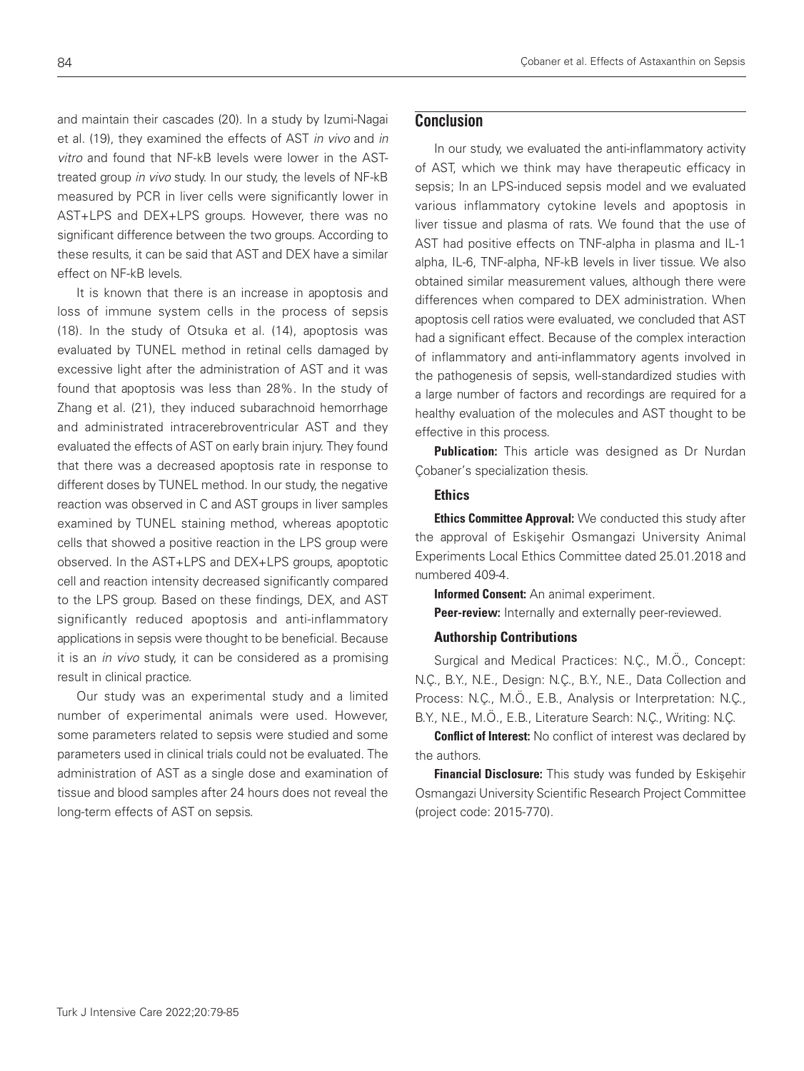and maintain their cascades (20). In a study by Izumi-Nagai et al. (19), they examined the effects of AST in vivo and in vitro and found that NF-kB levels were lower in the ASTtreated group in vivo study. In our study, the levels of NF-kB measured by PCR in liver cells were significantly lower in AST+LPS and DEX+LPS groups. However, there was no significant difference between the two groups. According to these results, it can be said that AST and DEX have a similar effect on NF-kB levels.

It is known that there is an increase in apoptosis and loss of immune system cells in the process of sepsis (18). In the study of Otsuka et al. (14), apoptosis was evaluated by TUNEL method in retinal cells damaged by excessive light after the administration of AST and it was found that apoptosis was less than 28%. In the study of Zhang et al. (21), they induced subarachnoid hemorrhage and administrated intracerebroventricular AST and they evaluated the effects of AST on early brain injury. They found that there was a decreased apoptosis rate in response to different doses by TUNEL method. In our study, the negative reaction was observed in C and AST groups in liver samples examined by TUNEL staining method, whereas apoptotic cells that showed a positive reaction in the LPS group were observed. In the AST+LPS and DEX+LPS groups, apoptotic cell and reaction intensity decreased significantly compared to the LPS group. Based on these findings, DEX, and AST significantly reduced apoptosis and anti-inflammatory applications in sepsis were thought to be beneficial. Because it is an in vivo study, it can be considered as a promising result in clinical practice.

Our study was an experimental study and a limited number of experimental animals were used. However, some parameters related to sepsis were studied and some parameters used in clinical trials could not be evaluated. The administration of AST as a single dose and examination of tissue and blood samples after 24 hours does not reveal the long-term effects of AST on sepsis.

# **Conclusion**

In our study, we evaluated the anti-inflammatory activity of AST, which we think may have therapeutic efficacy in sepsis; In an LPS-induced sepsis model and we evaluated various inflammatory cytokine levels and apoptosis in liver tissue and plasma of rats. We found that the use of AST had positive effects on TNF-alpha in plasma and IL-1 alpha, IL-6, TNF-alpha, NF-kB levels in liver tissue. We also obtained similar measurement values, although there were differences when compared to DEX administration. When apoptosis cell ratios were evaluated, we concluded that AST had a significant effect. Because of the complex interaction of inflammatory and anti-inflammatory agents involved in the pathogenesis of sepsis, well-standardized studies with a large number of factors and recordings are required for a healthy evaluation of the molecules and AST thought to be effective in this process.

**Publication:** This article was designed as Dr Nurdan Çobaner's specialization thesis.

### **Ethics**

**Ethics Committee Approval:** We conducted this study after the approval of Eskişehir Osmangazi University Animal Experiments Local Ethics Committee dated 25.01.2018 and numbered 409-4.

Informed Consent: An animal experiment.

Peer-review: Internally and externally peer-reviewed.

### Authorship Contributions

Surgical and Medical Practices: N.Ç., M.Ö., Concept: N.Ç., B.Y., N.E., Design: N.Ç., B.Y., N.E., Data Collection and Process: N.Ç., M.Ö., E.B., Analysis or Interpretation: N.Ç., B.Y., N.E., M.Ö., E.B., Literature Search: N.Ç., Writing: N.Ç.

**Conflict of Interest:** No conflict of interest was declared by the authors.

Financial Disclosure: This study was funded by Eskişehir Osmangazi University Scientific Research Project Committee (project code: 2015-770).